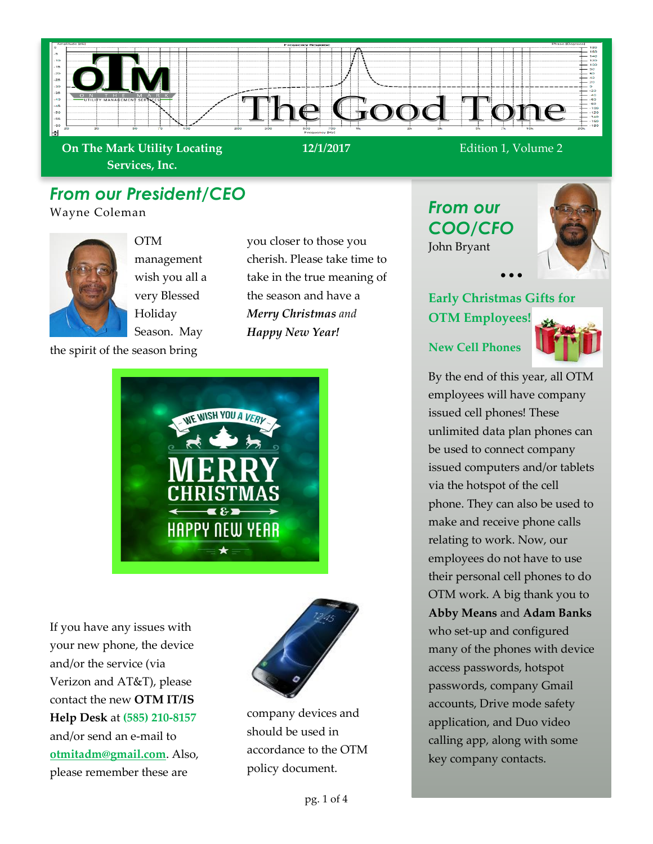

**On The Mark Utility Locating Services, Inc.**

# *From our President/CEO*

Wayne Coleman



OTM management wish you all a very Blessed Holiday Season. May

the spirit of the season bring

you closer to those you cherish. Please take time to take in the true meaning of the season and have a *Merry Christmas and Happy New Year!*



If you have any issues with your new phone, the device and/or the service (via Verizon and AT&T), please contact the new **OTM IT/IS Help Desk** at **(585) 210-8157** and/or send an e-mail to **otmitadm@gmail.com**. Also, please remember these are



company devices and should be used in accordance to the OTM policy document.

*From our COO/CFO* John Bryant



# **Early Christmas Gifts for OTM Employees!**

• • •

#### **New Cell Phones**



By the end of this year, all OTM employees will have company issued cell phones! These unlimited data plan phones can be used to connect company issued computers and/or tablets via the hotspot of the cell phone. They can also be used to make and receive phone calls relating to work. Now, our employees do not have to use their personal cell phones to do OTM work. A big thank you to **Abby Means** and **Adam Banks** who set-up and configured many of the phones with device access passwords, hotspot passwords, company Gmail accounts, Drive mode safety application, and Duo video calling app, along with some key company contacts.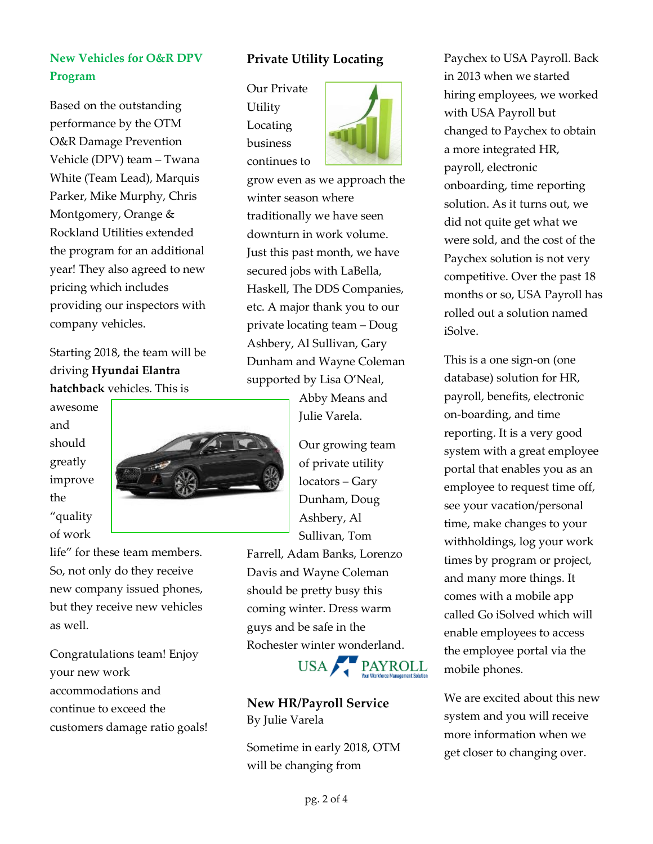### **New Vehicles for O&R DPV Program**

Based on the outstanding performance by the OTM O&R Damage Prevention Vehicle (DPV) team – Twana White (Team Lead), Marquis Parker, Mike Murphy, Chris Montgomery, Orange & Rockland Utilities extended the program for an additional year! They also agreed to new pricing which includes providing our inspectors with company vehicles.

Starting 2018, the team will be driving **Hyundai Elantra hatchback** vehicles. This is

awesome and should greatly improve the "quality of work



life" for these team members. So, not only do they receive new company issued phones, but they receive new vehicles as well.

Congratulations team! Enjoy your new work accommodations and continue to exceed the customers damage ratio goals!

#### **Private Utility Locating**

Our Private Utility Locating business continues to



grow even as we approach the winter season where traditionally we have seen downturn in work volume. Just this past month, we have secured jobs with LaBella, Haskell, The DDS Companies, etc. A major thank you to our private locating team – Doug Ashbery, Al Sullivan, Gary Dunham and Wayne Coleman supported by Lisa O'Neal,

> Abby Means and Julie Varela.

Our growing team of private utility locators – Gary Dunham, Doug Ashbery, Al Sullivan, Tom

Farrell, Adam Banks, Lorenzo Davis and Wayne Coleman should be pretty busy this coming winter. Dress warm guys and be safe in the Rochester winter wonderland.



**New HR/Payroll Service** By Julie Varela

Sometime in early 2018, OTM will be changing from

Paychex to USA Payroll. Back in 2013 when we started hiring employees, we worked with USA Payroll but changed to Paychex to obtain a more integrated HR, payroll, electronic onboarding, time reporting solution. As it turns out, we did not quite get what we were sold, and the cost of the Paychex solution is not very competitive. Over the past 18 months or so, USA Payroll has rolled out a solution named iSolve.

This is a one sign-on (one database) solution for HR, payroll, benefits, electronic on-boarding, and time reporting. It is a very good system with a great employee portal that enables you as an employee to request time off, see your vacation/personal time, make changes to your withholdings, log your work times by program or project, and many more things. It comes with a mobile app called Go iSolved which will enable employees to access the employee portal via the mobile phones.

We are excited about this new system and you will receive more information when we get closer to changing over.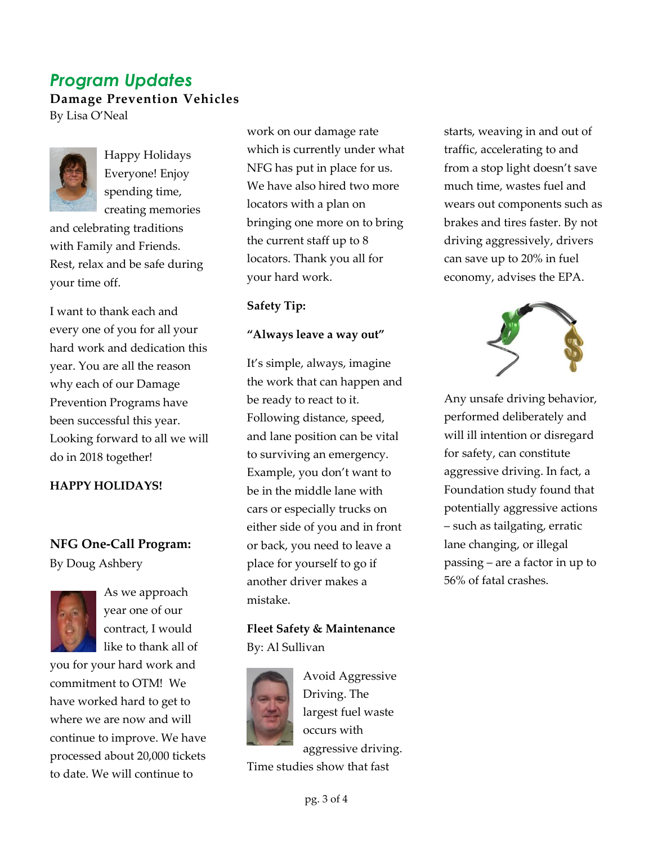## *Program Updates* **Damage Prevention Vehicles** By Lisa O'Neal



Happy Holidays Everyone! Enjoy spending time, creating memories

and celebrating traditions with Family and Friends. Rest, relax and be safe during your time off.

I want to thank each and every one of you for all your hard work and dedication this year. You are all the reason why each of our Damage Prevention Programs have been successful this year. Looking forward to all we will do in 2018 together!

#### **HAPPY HOLIDAYS!**

## **NFG One-Call Program:** By Doug Ashbery



As we approach year one of our contract, I would like to thank all of

you for your hard work and commitment to OTM! We have worked hard to get to where we are now and will continue to improve. We have processed about 20,000 tickets to date. We will continue to

work on our damage rate which is currently under what NFG has put in place for us. We have also hired two more locators with a plan on bringing one more on to bring the current staff up to 8 locators. Thank you all for your hard work.

**Safety Tip:**

#### **"Always leave a way out"**

It's simple, always, imagine the work that can happen and be ready to react to it. Following distance, speed, and lane position can be vital to surviving an emergency. Example, you don't want to be in the middle lane with cars or especially trucks on either side of you and in front or back, you need to leave a place for yourself to go if another driver makes a mistake.

**Fleet Safety & Maintenance** By: Al Sullivan



Avoid Aggressive Driving. The largest fuel waste occurs with aggressive driving.

Time studies show that fast

starts, weaving in and out of traffic, accelerating to and from a stop light doesn't save much time, wastes fuel and wears out components such as brakes and tires faster. By not driving aggressively, drivers can save up to 20% in fuel economy, advises the EPA.



Any unsafe driving behavior, performed deliberately and will ill intention or disregard for safety, can constitute aggressive driving. In fact, a Foundation study found that potentially aggressive actions – such as tailgating, erratic lane changing, or illegal passing – are a factor in up to 56% of fatal crashes.